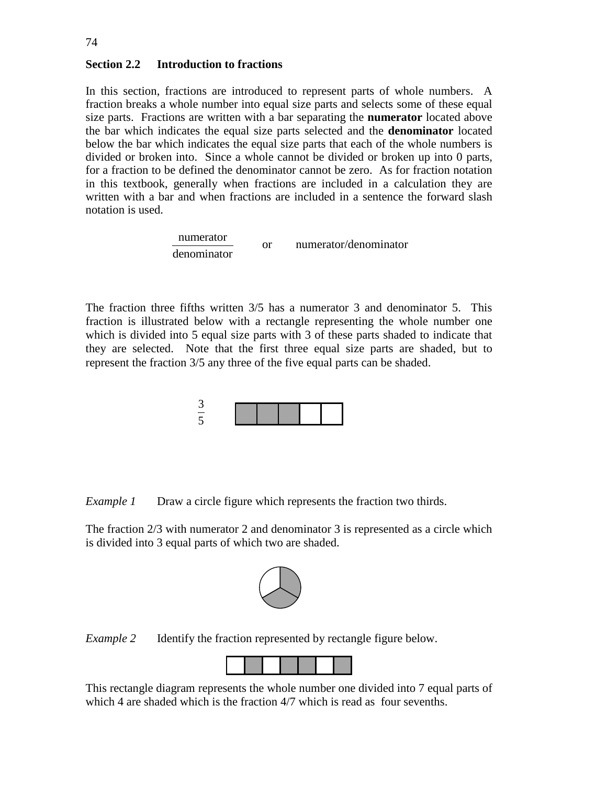## **Section 2.2 Introduction to fractions**

In this section, fractions are introduced to represent parts of whole numbers. A fraction breaks a whole number into equal size parts and selects some of these equal size parts. Fractions are written with a bar separating the **numerator** located above the bar which indicates the equal size parts selected and the **denominator** located below the bar which indicates the equal size parts that each of the whole numbers is divided or broken into. Since a whole cannot be divided or broken up into 0 parts, for a fraction to be defined the denominator cannot be zero. As for fraction notation in this textbook, generally when fractions are included in a calculation they are written with a bar and when fractions are included in a sentence the forward slash notation is used.

> numerator denominator or numerator/denominator

The fraction three fifths written 3/5 has a numerator 3 and denominator 5. This fraction is illustrated below with a rectangle representing the whole number one which is divided into 5 equal size parts with 3 of these parts shaded to indicate that they are selected. Note that the first three equal size parts are shaded, but to represent the fraction 3/5 any three of the five equal parts can be shaded.



*Example 1* Draw a circle figure which represents the fraction two thirds.

The fraction 2/3 with numerator 2 and denominator 3 is represented as a circle which is divided into 3 equal parts of which two are shaded.



*Example 2* Identify the fraction represented by rectangle figure below.



This rectangle diagram represents the whole number one divided into 7 equal parts of which 4 are shaded which is the fraction 4/7 which is read as four sevenths.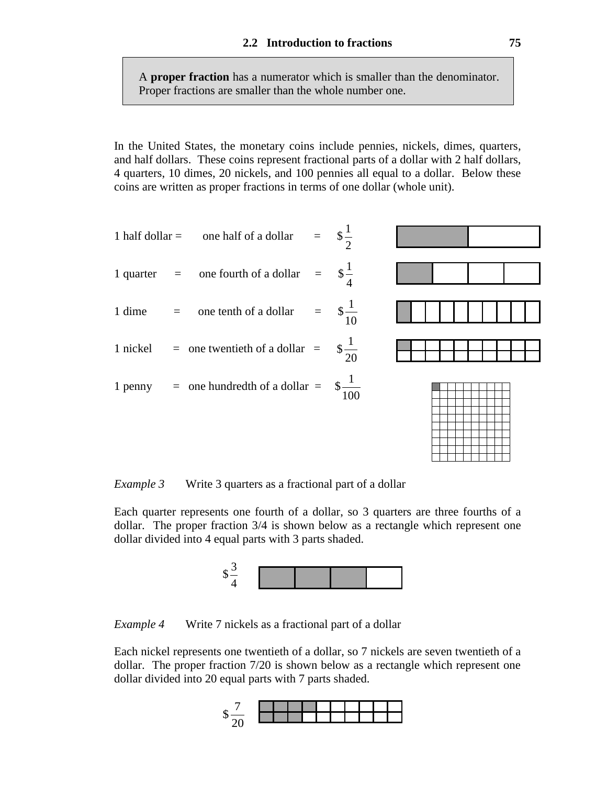A **proper fraction** has a numerator which is smaller than the denominator. Proper fractions are smaller than the whole number one.

In the United States, the monetary coins include pennies, nickels, dimes, quarters, and half dollars. These coins represent fractional parts of a dollar with 2 half dollars, 4 quarters, 10 dimes, 20 nickels, and 100 pennies all equal to a dollar. Below these coins are written as proper fractions in terms of one dollar (whole unit).

2

4

- 1 half dollar = one half of a dollar =  $\frac{1}{2}$
- 1 quarter = one fourth of a dollar =  $\frac{1}{2}$
- 1 dime = one tenth of a dollar =  $\frac{1}{2}$ 10
- 1 nickel = one twentieth of a dollar =  $\frac{1}{2}$ 20
- 1 penny = one hundredth of a dollar =  $\frac{1}{2}$ 100



*Example 3* Write 3 quarters as a fractional part of a dollar

Each quarter represents one fourth of a dollar, so 3 quarters are three fourths of a dollar. The proper fraction 3/4 is shown below as a rectangle which represent one dollar divided into 4 equal parts with 3 parts shaded.



*Example 4* Write 7 nickels as a fractional part of a dollar

Each nickel represents one twentieth of a dollar, so 7 nickels are seven twentieth of a dollar. The proper fraction 7/20 is shown below as a rectangle which represent one dollar divided into 20 equal parts with 7 parts shaded.

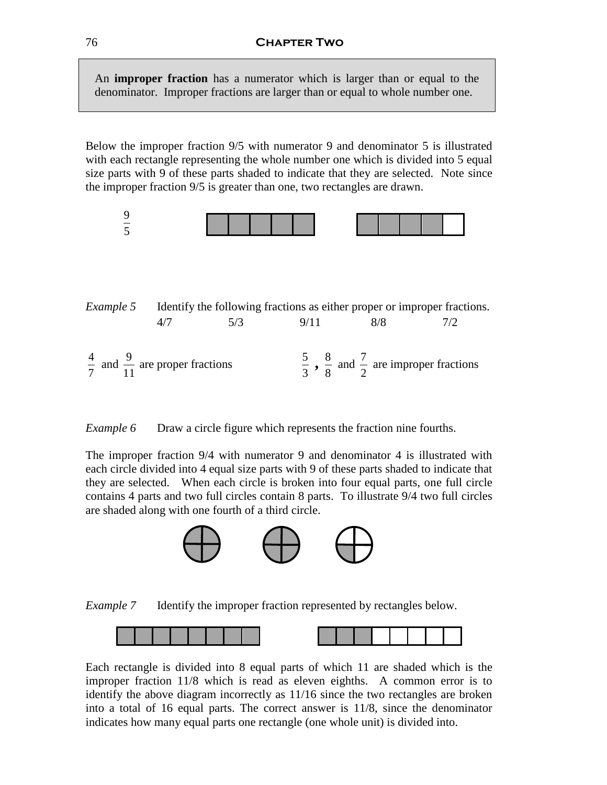An **improper fraction** has a numerator which is larger than or equal to the denominator. Improper fractions are larger than or equal to whole number one.

Below the improper fraction 9/5 with numerator 9 and denominator 5 is illustrated with each rectangle representing the whole number one which is divided into 5 equal size parts with 9 of these parts shaded to indicate that they are selected. Note since the improper fraction 9/5 is greater than one, two rectangles are drawn.



*Example 5* Identify the following fractions as either proper or improper fractions. 4/7 5/3 9/11 8/8 7/2 4 7 and  $\frac{9}{11}$ 11 are proper fractions 5 3  $, \frac{8}{9}$ 8 and  $\frac{7}{5}$ 2 are improper fractions

*Example 6* Draw a circle figure which represents the fraction nine fourths.

The improper fraction 9/4 with numerator 9 and denominator 4 is illustrated with each circle divided into 4 equal size parts with 9 of these parts shaded to indicate that they are selected. When each circle is broken into four equal parts, one full circle contains 4 parts and two full circles contain 8 parts. To illustrate 9/4 two full circles are shaded along with one fourth of a third circle.







Each rectangle is divided into 8 equal parts of which 11 are shaded which is the improper fraction 11/8 which is read as eleven eighths. A common error is to identify the above diagram incorrectly as 11/16 since the two rectangles are broken into a total of 16 equal parts. The correct answer is 11/8, since the denominator indicates how many equal parts one rectangle (one whole unit) is divided into.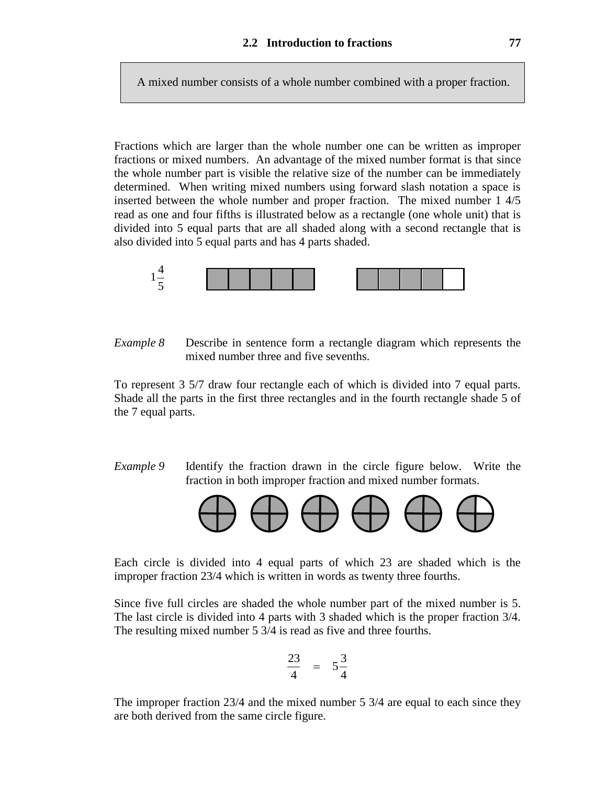A mixed number consists of a whole number combined with a proper fraction.

Fractions which are larger than the whole number one can be written as improper fractions or mixed numbers. An advantage of the mixed number format is that since the whole number part is visible the relative size of the number can be immediately determined. When writing mixed numbers using forward slash notation a space is inserted between the whole number and proper fraction. The mixed number 1 4/5 read as one and four fifths is illustrated below as a rectangle (one whole unit) that is divided into 5 equal parts that are all shaded along with a second rectangle that is also divided into 5 equal parts and has 4 parts shaded.



*Example 8* Describe in sentence form a rectangle diagram which represents the mixed number three and five sevenths.

To represent 3 5/7 draw four rectangle each of which is divided into 7 equal parts. Shade all the parts in the first three rectangles and in the fourth rectangle shade 5 of the 7 equal parts.

*Example 9* Identify the fraction drawn in the circle figure below. Write the fraction in both improper fraction and mixed number formats.



Each circle is divided into 4 equal parts of which 23 are shaded which is the improper fraction 23/4 which is written in words as twenty three fourths.

Since five full circles are shaded the whole number part of the mixed number is 5. The last circle is divided into 4 parts with 3 shaded which is the proper fraction 3/4. The resulting mixed number 5 3/4 is read as five and three fourths.

$$
\frac{23}{4} = 5\frac{3}{4}
$$

The improper fraction 23/4 and the mixed number 5 3/4 are equal to each since they are both derived from the same circle figure.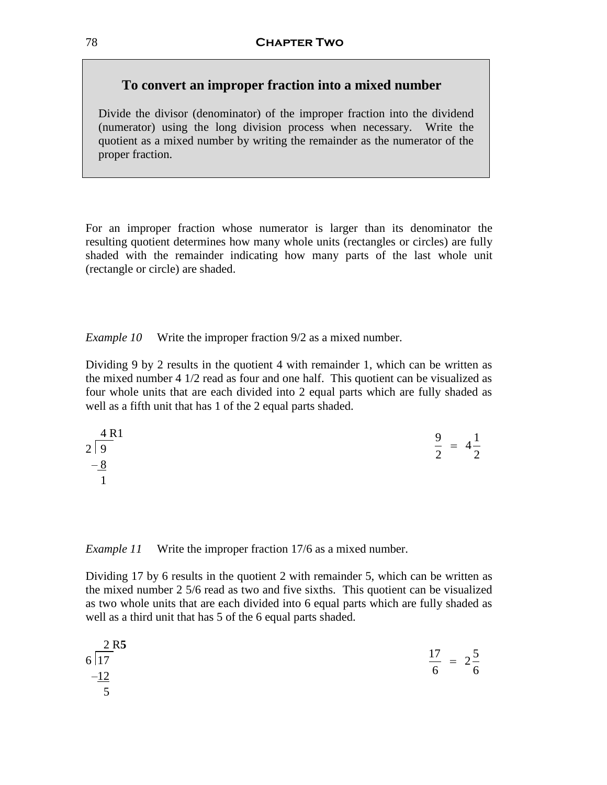## **To convert an improper fraction into a mixed number**

Divide the divisor (denominator) of the improper fraction into the dividend (numerator) using the long division process when necessary. Write the quotient as a mixed number by writing the remainder as the numerator of the proper fraction.

For an improper fraction whose numerator is larger than its denominator the resulting quotient determines how many whole units (rectangles or circles) are fully shaded with the remainder indicating how many parts of the last whole unit (rectangle or circle) are shaded.

*Example 10* Write the improper fraction 9/2 as a mixed number.

Dividing 9 by 2 results in the quotient 4 with remainder 1, which can be written as the mixed number 4 1/2 read as four and one half. This quotient can be visualized as four whole units that are each divided into 2 equal parts which are fully shaded as well as a fifth unit that has 1 of the 2 equal parts shaded.

$$
2\begin{array}{ccc}\n4 & 1 \\
2 & 9 \\
-8 & 1\n\end{array} = 4\frac{1}{2}
$$

*Example 11* Write the improper fraction 17/6 as a mixed number.

Dividing 17 by 6 results in the quotient 2 with remainder 5, which can be written as the mixed number 2 5/6 read as two and five sixths. This quotient can be visualized as two whole units that are each divided into 6 equal parts which are fully shaded as well as a third unit that has 5 of the 6 equal parts shaded.

| $\frac{2 \text{ R5}}{6 \text{ } 17}$ | $\frac{17}{2}$ = 2 <sup>5</sup> |
|--------------------------------------|---------------------------------|
| $-12$                                | 6<br>6                          |
|                                      |                                 |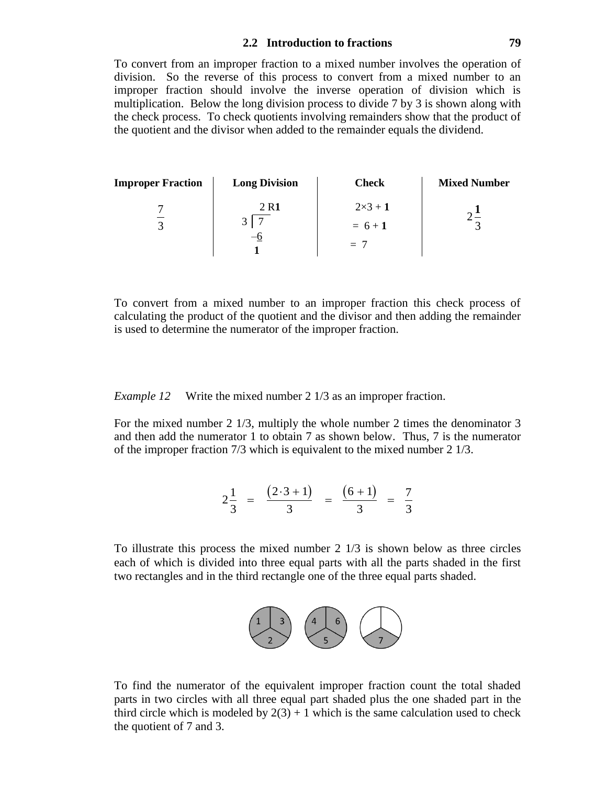#### **2.2 Introduction to fractions 79**

To convert from an improper fraction to a mixed number involves the operation of division. So the reverse of this process to convert from a mixed number to an improper fraction should involve the inverse operation of division which is multiplication. Below the long division process to divide 7 by 3 is shown along with the check process. To check quotients involving remainders show that the product of the quotient and the divisor when added to the remainder equals the dividend.

| Improper Fraction | Long Division                   | Check                             | Mixed Number                             |                       |
|-------------------|---------------------------------|-----------------------------------|------------------------------------------|-----------------------|
| $\frac{7}{3}$     | $\frac{2 \text{ R1}}{3 \mid 7}$ | $\frac{2 \times 3 + 1}{3 \mid 7}$ | $\frac{2 \times 3 + 1}{4 \mid 7 \mid 7}$ | $\frac{2 \cdot 1}{3}$ |
| $-\frac{6}{1}$    | $-\frac{7}{1}$                  | $\frac{2}{3}$                     |                                          |                       |

To convert from a mixed number to an improper fraction this check process of calculating the product of the quotient and the divisor and then adding the remainder is used to determine the numerator of the improper fraction.

*Example 12* Write the mixed number 2 1/3 as an improper fraction.

For the mixed number 2 1/3, multiply the whole number 2 times the denominator 3 and then add the numerator 1 to obtain 7 as shown below. Thus, 7 is the numerator of the improper fraction 7/3 which is equivalent to the mixed number 2 1/3.

$$
2\frac{1}{3} = \frac{(2 \cdot 3 + 1)}{3} = \frac{(6+1)}{3} = \frac{7}{3}
$$

To illustrate this process the mixed number 2 1/3 is shown below as three circles each of which is divided into three equal parts with all the parts shaded in the first two rectangles and in the third rectangle one of the three equal parts shaded.



To find the numerator of the equivalent improper fraction count the total shaded parts in two circles with all three equal part shaded plus the one shaded part in the third circle which is modeled by  $2(3) + 1$  which is the same calculation used to check the quotient of 7 and 3.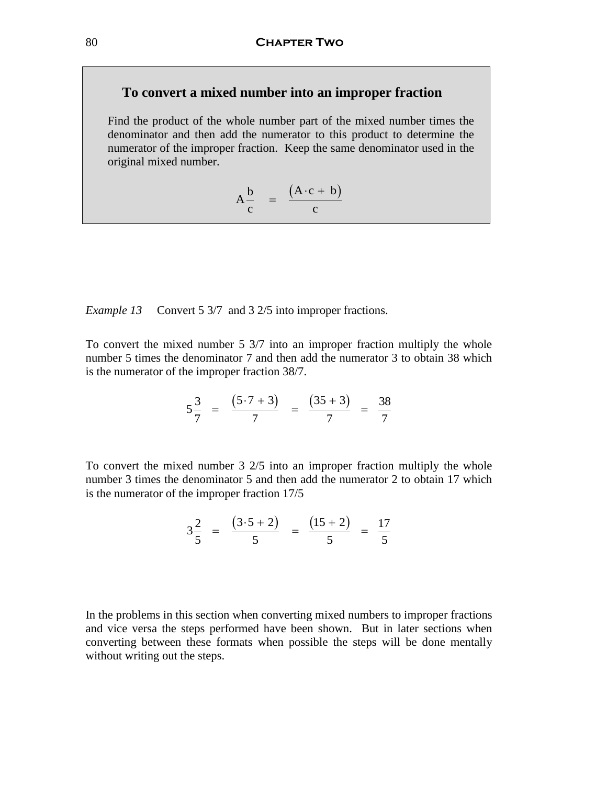## **To convert a mixed number into an improper fraction**

Find the product of the whole number part of the mixed number times the denominator and then add the numerator to this product to determine the numerator of the improper fraction. Keep the same denominator used in the original mixed number.

$$
A\frac{b}{c} = \frac{(A \cdot c + b)}{c}
$$

*Example 13* Convert 5 3/7 and 3 2/5 into improper fractions.

To convert the mixed number 5 3/7 into an improper fraction multiply the whole number 5 times the denominator 7 and then add the numerator 3 to obtain 38 which is the numerator of the improper fraction 38/7.

$$
5\frac{3}{7} = \frac{(5 \cdot 7 + 3)}{7} = \frac{(35 + 3)}{7} = \frac{38}{7}
$$

To convert the mixed number 3 2/5 into an improper fraction multiply the whole number 3 times the denominator 5 and then add the numerator 2 to obtain 17 which is the numerator of the improper fraction 17/5

$$
3\frac{2}{5} = \frac{(3\cdot 5 + 2)}{5} = \frac{(15 + 2)}{5} = \frac{17}{5}
$$

In the problems in this section when converting mixed numbers to improper fractions and vice versa the steps performed have been shown. But in later sections when converting between these formats when possible the steps will be done mentally without writing out the steps.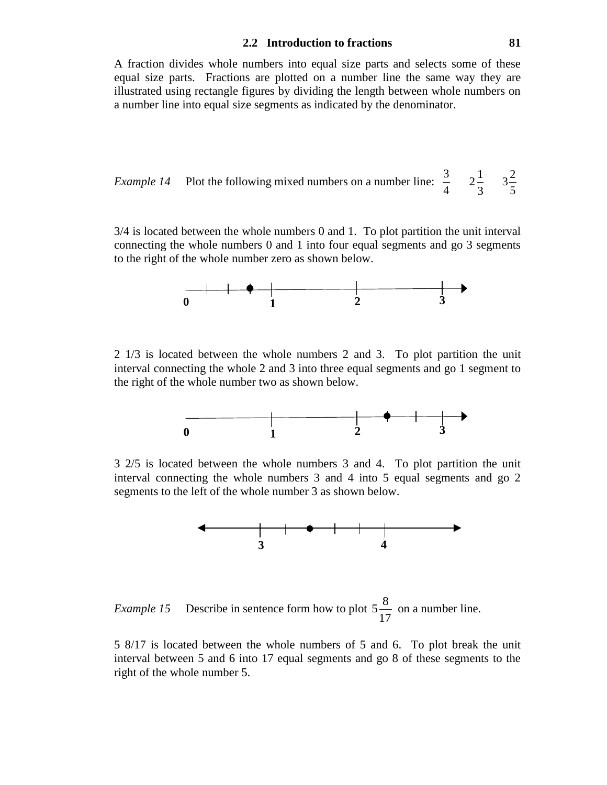#### **2.2 Introduction to fractions 81**

A fraction divides whole numbers into equal size parts and selects some of these equal size parts. Fractions are plotted on a number line the same way they are illustrated using rectangle figures by dividing the length between whole numbers on a number line into equal size segments as indicated by the denominator.

*Example 14* Plot the following mixed numbers on a number line: 
$$
\frac{3}{4}
$$
  $2\frac{1}{3}$   $3\frac{2}{5}$ 

3/4 is located between the whole numbers 0 and 1. To plot partition the unit interval connecting the whole numbers 0 and 1 into four equal segments and go 3 segments to the right of the whole number zero as shown below.



2 1/3 is located between the whole numbers 2 and 3. To plot partition the unit interval connecting the whole 2 and 3 into three equal segments and go 1 segment to the right of the whole number two as shown below.



3 2/5 is located between the whole numbers 3 and 4. To plot partition the unit interval connecting the whole numbers 3 and 4 into 5 equal segments and go 2 segments to the left of the whole number 3 as shown below.



*Example 15* Describe in sentence form how to plot  $5\frac{8}{15}$ 17 on a number line.

5 8/17 is located between the whole numbers of 5 and 6. To plot break the unit interval between 5 and 6 into 17 equal segments and go 8 of these segments to the right of the whole number 5.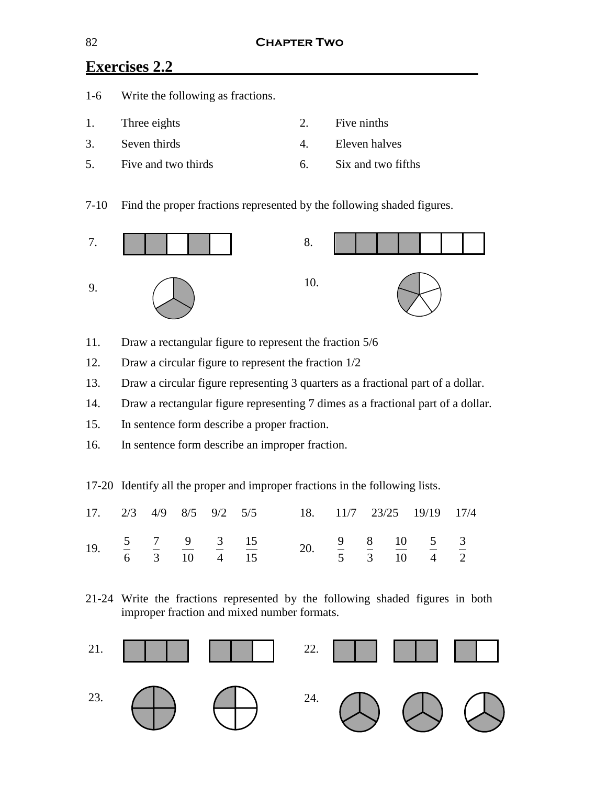# **Exercises 2.2**

|    | 1-6 Write the following as fractions. |              |                    |
|----|---------------------------------------|--------------|--------------------|
|    | 1. Three eights                       | $2^{\circ}$  | Five ninths        |
| 3. | Seven thirds                          | $\mathbf{4}$ | Eleven halves      |
| 5. | Five and two thirds                   | . რ          | Six and two fifths |

7-10 Find the proper fractions represented by the following shaded figures.



- 11. Draw a rectangular figure to represent the fraction 5/6
- 12. Draw a circular figure to represent the fraction 1/2
- 13. Draw a circular figure representing 3 quarters as a fractional part of a dollar.
- 14. Draw a rectangular figure representing 7 dimes as a fractional part of a dollar.
- 15. In sentence form describe a proper fraction.
- 16. In sentence form describe an improper fraction.

17-20 Identify all the proper and improper fractions in the following lists.

|  |  |  | 17. 2/3 4/9 8/5 9/2 5/5 18. 11/7 23/25 19/19 17/4                                                                                                        |  |  |  |
|--|--|--|----------------------------------------------------------------------------------------------------------------------------------------------------------|--|--|--|
|  |  |  | 19. $\frac{5}{6}$ $\frac{7}{3}$ $\frac{9}{10}$ $\frac{3}{4}$ $\frac{15}{15}$ 20. $\frac{9}{5}$ $\frac{8}{3}$ $\frac{10}{10}$ $\frac{5}{4}$ $\frac{3}{2}$ |  |  |  |

21-24 Write the fractions represented by the following shaded figures in both improper fraction and mixed number formats.